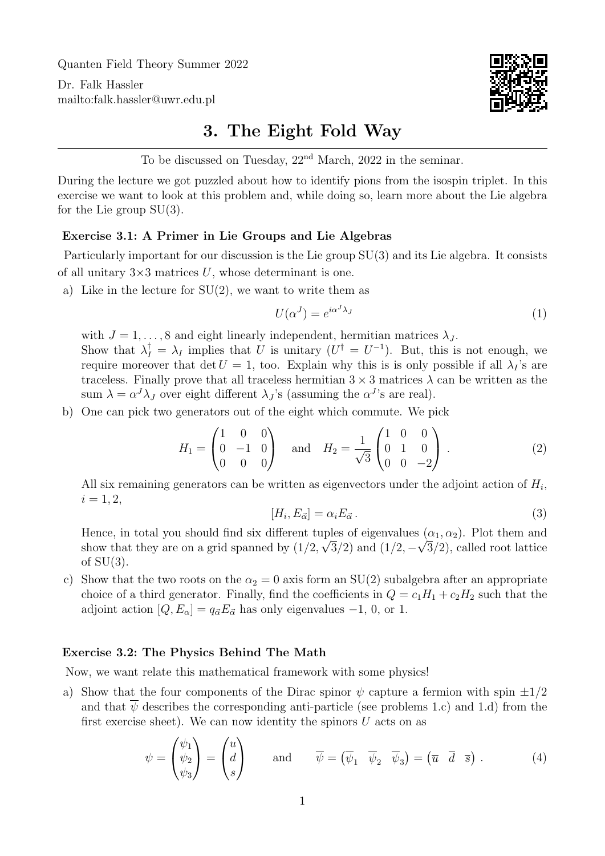Quanten Field Theory Summer 2022

Dr. Falk Hassler <mailto:falk.hassler@uwr.edu.pl>



## 3. The Eight Fold Way

To be discussed on Tuesday,  $22<sup>nd</sup> March$ ,  $2022$  in the seminar.

During the lecture we got puzzled about how to identify pions from the isospin triplet. In this exercise we want to look at this problem and, while doing so, learn more about the Lie algebra for the Lie group  $SU(3)$ .

## Exercise 3.1: A Primer in Lie Groups and Lie Algebras

Particularly important for our discussion is the Lie group SU(3) and its Lie algebra. It consists of all unitary  $3\times 3$  matrices U, whose determinant is one.

a) Like in the lecture for  $SU(2)$ , we want to write them as

$$
U(\alpha^J) = e^{i\alpha^J \lambda_J} \tag{1}
$$

with  $J = 1, \ldots, 8$  and eight linearly independent, hermitian matrices  $\lambda_J$ . Show that  $\lambda_I^{\dagger} = \lambda_I$  implies that U is unitary  $(U^{\dagger} = U^{-1})$ . But, this is not enough, we require moreover that det  $U = 1$ , too. Explain why this is is only possible if all  $\lambda_I$ 's are traceless. Finally prove that all traceless hermitian  $3 \times 3$  matrices  $\lambda$  can be written as the sum  $\lambda = \alpha^J \lambda_J$  over eight different  $\lambda_J$ 's (assuming the  $\alpha^J$ 's are real).

b) One can pick two generators out of the eight which commute. We pick

$$
H_1 = \begin{pmatrix} 1 & 0 & 0 \\ 0 & -1 & 0 \\ 0 & 0 & 0 \end{pmatrix} \text{ and } H_2 = \frac{1}{\sqrt{3}} \begin{pmatrix} 1 & 0 & 0 \\ 0 & 1 & 0 \\ 0 & 0 & -2 \end{pmatrix}.
$$
 (2)

All six remaining generators can be written as eigenvectors under the adjoint action of  $H_i$ ,  $i = 1, 2,$ 

$$
[H_i, E_{\vec{\alpha}}] = \alpha_i E_{\vec{\alpha}} \,. \tag{3}
$$

Hence, in total you should find six different tuples of eigenvalues  $(\alpha_1, \alpha_2)$ . Plot them and show that they are on a grid spanned by  $(1/2, \sqrt{3}/2)$  and  $(1/2, -\sqrt{3}/2)$ , called root lattice of  $SU(3)$ .

c) Show that the two roots on the  $\alpha_2 = 0$  axis form an SU(2) subalgebra after an appropriate choice of a third generator. Finally, find the coefficients in  $Q = c_1H_1 + c_2H_2$  such that the adjoint action  $[Q, E_{\alpha}] = q_{\vec{\alpha}} E_{\vec{\alpha}}$  has only eigenvalues  $-1, 0,$  or 1.

## Exercise 3.2: The Physics Behind The Math

Now, we want relate this mathematical framework with some physics!

a) Show that the four components of the Dirac spinor  $\psi$  capture a fermion with spin  $\pm 1/2$ and that  $\psi$  describes the corresponding anti-particle (see problems 1.c) and 1.d) from the first exercise sheet). We can now identity the spinors  $U$  acts on as

$$
\psi = \begin{pmatrix} \psi_1 \\ \psi_2 \\ \psi_3 \end{pmatrix} = \begin{pmatrix} u \\ d \\ s \end{pmatrix} \quad \text{and} \quad \overline{\psi} = (\overline{\psi}_1 \quad \overline{\psi}_2 \quad \overline{\psi}_3) = (\overline{u} \quad \overline{d} \quad \overline{s}) . \tag{4}
$$